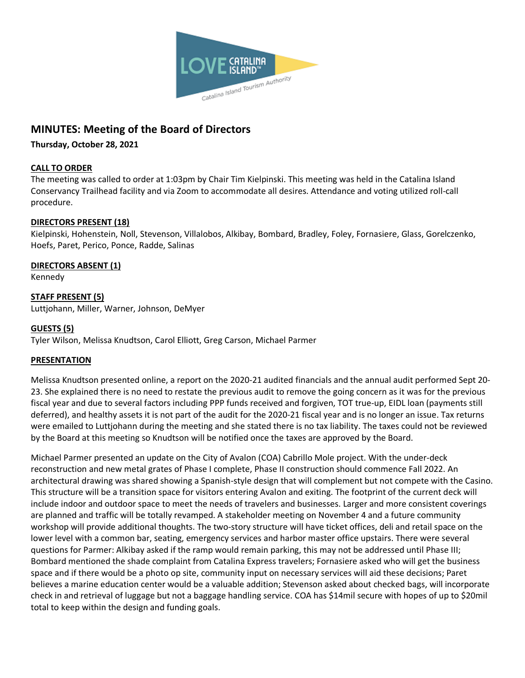

# **MINUTES: Meeting of the Board of Directors**

# **Thursday, October 28, 2021**

# **CALL TO ORDER**

The meeting was called to order at 1:03pm by Chair Tim Kielpinski. This meeting was held in the Catalina Island Conservancy Trailhead facility and via Zoom to accommodate all desires. Attendance and voting utilized roll-call procedure.

# **DIRECTORS PRESENT (18)**

Kielpinski, Hohenstein, Noll, Stevenson, Villalobos, Alkibay, Bombard, Bradley, Foley, Fornasiere, Glass, Gorelczenko, Hoefs, Paret, Perico, Ponce, Radde, Salinas

# **DIRECTORS ABSENT (1)**

Kennedy

**STAFF PRESENT (5)** Luttjohann, Miller, Warner, Johnson, DeMyer

# **GUESTS (5)**

Tyler Wilson, Melissa Knudtson, Carol Elliott, Greg Carson, Michael Parmer

# **PRESENTATION**

Melissa Knudtson presented online, a report on the 2020-21 audited financials and the annual audit performed Sept 20- 23. She explained there is no need to restate the previous audit to remove the going concern as it was for the previous fiscal year and due to several factors including PPP funds received and forgiven, TOT true-up, EIDL loan (payments still deferred), and healthy assets it is not part of the audit for the 2020-21 fiscal year and is no longer an issue. Tax returns were emailed to Luttjohann during the meeting and she stated there is no tax liability. The taxes could not be reviewed by the Board at this meeting so Knudtson will be notified once the taxes are approved by the Board.

Michael Parmer presented an update on the City of Avalon (COA) Cabrillo Mole project. With the under-deck reconstruction and new metal grates of Phase I complete, Phase II construction should commence Fall 2022. An architectural drawing was shared showing a Spanish-style design that will complement but not compete with the Casino. This structure will be a transition space for visitors entering Avalon and exiting. The footprint of the current deck will include indoor and outdoor space to meet the needs of travelers and businesses. Larger and more consistent coverings are planned and traffic will be totally revamped. A stakeholder meeting on November 4 and a future community workshop will provide additional thoughts. The two-story structure will have ticket offices, deli and retail space on the lower level with a common bar, seating, emergency services and harbor master office upstairs. There were several questions for Parmer: Alkibay asked if the ramp would remain parking, this may not be addressed until Phase III; Bombard mentioned the shade complaint from Catalina Express travelers; Fornasiere asked who will get the business space and if there would be a photo op site, community input on necessary services will aid these decisions; Paret believes a marine education center would be a valuable addition; Stevenson asked about checked bags, will incorporate check in and retrieval of luggage but not a baggage handling service. COA has \$14mil secure with hopes of up to \$20mil total to keep within the design and funding goals.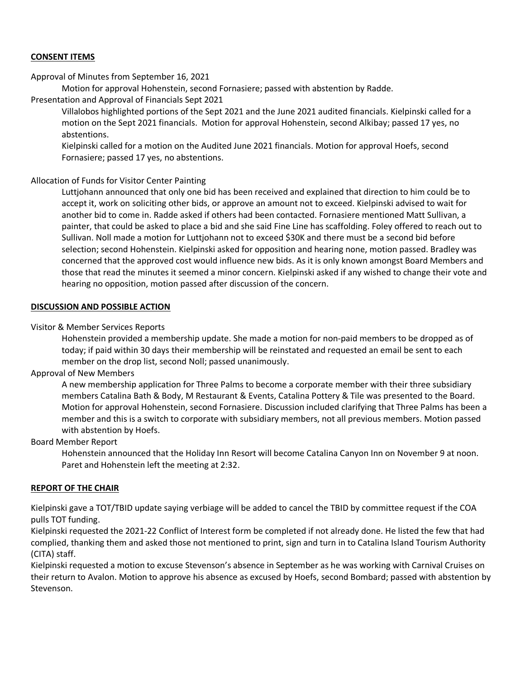## **CONSENT ITEMS**

Approval of Minutes from September 16, 2021

Motion for approval Hohenstein, second Fornasiere; passed with abstention by Radde.

Presentation and Approval of Financials Sept 2021

Villalobos highlighted portions of the Sept 2021 and the June 2021 audited financials. Kielpinski called for a motion on the Sept 2021 financials. Motion for approval Hohenstein, second Alkibay; passed 17 yes, no abstentions.

Kielpinski called for a motion on the Audited June 2021 financials. Motion for approval Hoefs, second Fornasiere; passed 17 yes, no abstentions.

#### Allocation of Funds for Visitor Center Painting

Luttjohann announced that only one bid has been received and explained that direction to him could be to accept it, work on soliciting other bids, or approve an amount not to exceed. Kielpinski advised to wait for another bid to come in. Radde asked if others had been contacted. Fornasiere mentioned Matt Sullivan, a painter, that could be asked to place a bid and she said Fine Line has scaffolding. Foley offered to reach out to Sullivan. Noll made a motion for Luttjohann not to exceed \$30K and there must be a second bid before selection; second Hohenstein. Kielpinski asked for opposition and hearing none, motion passed. Bradley was concerned that the approved cost would influence new bids. As it is only known amongst Board Members and those that read the minutes it seemed a minor concern. Kielpinski asked if any wished to change their vote and hearing no opposition, motion passed after discussion of the concern.

#### **DISCUSSION AND POSSIBLE ACTION**

#### Visitor & Member Services Reports

Hohenstein provided a membership update. She made a motion for non-paid members to be dropped as of today; if paid within 30 days their membership will be reinstated and requested an email be sent to each member on the drop list, second Noll; passed unanimously.

#### Approval of New Members

A new membership application for Three Palms to become a corporate member with their three subsidiary members Catalina Bath & Body, M Restaurant & Events, Catalina Pottery & Tile was presented to the Board. Motion for approval Hohenstein, second Fornasiere. Discussion included clarifying that Three Palms has been a member and this is a switch to corporate with subsidiary members, not all previous members. Motion passed with abstention by Hoefs.

#### Board Member Report

Hohenstein announced that the Holiday Inn Resort will become Catalina Canyon Inn on November 9 at noon. Paret and Hohenstein left the meeting at 2:32.

#### **REPORT OF THE CHAIR**

Kielpinski gave a TOT/TBID update saying verbiage will be added to cancel the TBID by committee request if the COA pulls TOT funding.

Kielpinski requested the 2021-22 Conflict of Interest form be completed if not already done. He listed the few that had complied, thanking them and asked those not mentioned to print, sign and turn in to Catalina Island Tourism Authority (CITA) staff.

Kielpinski requested a motion to excuse Stevenson's absence in September as he was working with Carnival Cruises on their return to Avalon. Motion to approve his absence as excused by Hoefs, second Bombard; passed with abstention by Stevenson.